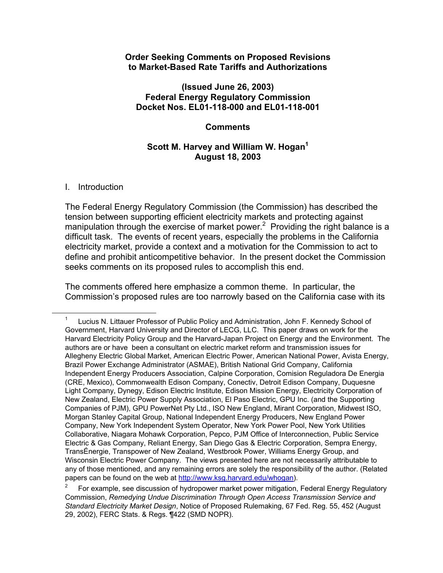#### **Order Seeking Comments on Proposed Revisions to Market-Based Rate Tariffs and Authorizations**

## **(Issued June 26, 2003) Federal Energy Regulatory Commission Docket Nos. EL01-118-000 and EL01-118-001**

## **Comments**

## **Scott M. Harvey and William W. Hogan<sup>1</sup> August 18, 2003**

#### I. Introduction

The Federal Energy Regulatory Commission (the Commission) has described the tension between supporting efficient electricity markets and protecting against manipulation through the exercise of market power.<sup>2</sup> Providing the right balance is a difficult task. The events of recent years, especially the problems in the California electricity market, provide a context and a motivation for the Commission to act to define and prohibit anticompetitive behavior. In the present docket the Commission seeks comments on its proposed rules to accomplish this end.

The comments offered here emphasize a common theme. In particular, the Commission's proposed rules are too narrowly based on the California case with its

 $\overline{\phantom{0}}$  1 Lucius N. Littauer Professor of Public Policy and Administration, John F. Kennedy School of Government, Harvard University and Director of LECG, LLC. This paper draws on work for the Harvard Electricity Policy Group and the Harvard-Japan Project on Energy and the Environment. The authors are or have been a consultant on electric market reform and transmission issues for Allegheny Electric Global Market, American Electric Power, American National Power, Avista Energy, Brazil Power Exchange Administrator (ASMAE), British National Grid Company, California Independent Energy Producers Association, Calpine Corporation, Comision Reguladora De Energia (CRE, Mexico), Commonwealth Edison Company, Conectiv, Detroit Edison Company, Duquesne Light Company, Dynegy, Edison Electric Institute, Edison Mission Energy, Electricity Corporation of New Zealand, Electric Power Supply Association, El Paso Electric, GPU Inc. (and the Supporting Companies of PJM), GPU PowerNet Pty Ltd., ISO New England, Mirant Corporation, Midwest ISO, Morgan Stanley Capital Group, National Independent Energy Producers, New England Power Company, New York Independent System Operator, New York Power Pool, New York Utilities Collaborative, Niagara Mohawk Corporation, Pepco, PJM Office of Interconnection, Public Service Electric & Gas Company, Reliant Energy, San Diego Gas & Electric Corporation, Sempra Energy, TransÉnergie, Transpower of New Zealand, Westbrook Power, Williams Energy Group, and Wisconsin Electric Power Company. The views presented here are not necessarily attributable to any of those mentioned, and any remaining errors are solely the responsibility of the author. (Related papers can be found on the web at http://www.ksg.harvard.edu/whogan).

<sup>2</sup> For example, see discussion of hydropower market power mitigation, Federal Energy Regulatory Commission, *Remedying Undue Discrimination Through Open Access Transmission Service and Standard Electricity Market Design*, Notice of Proposed Rulemaking, 67 Fed. Reg. 55, 452 (August 29, 2002), FERC Stats. & Regs. ¶422 (SMD NOPR).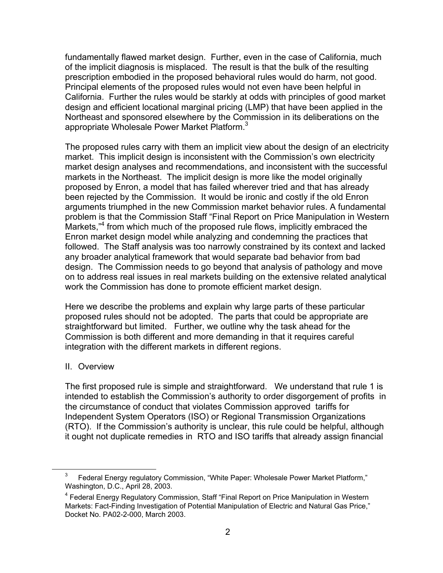fundamentally flawed market design. Further, even in the case of California, much of the implicit diagnosis is misplaced. The result is that the bulk of the resulting prescription embodied in the proposed behavioral rules would do harm, not good. Principal elements of the proposed rules would not even have been helpful in California. Further the rules would be starkly at odds with principles of good market design and efficient locational marginal pricing (LMP) that have been applied in the Northeast and sponsored elsewhere by the Commission in its deliberations on the appropriate Wholesale Power Market Platform.<sup>3</sup>

The proposed rules carry with them an implicit view about the design of an electricity market. This implicit design is inconsistent with the Commission's own electricity market design analyses and recommendations, and inconsistent with the successful markets in the Northeast. The implicit design is more like the model originally proposed by Enron, a model that has failed wherever tried and that has already been rejected by the Commission. It would be ironic and costly if the old Enron arguments triumphed in the new Commission market behavior rules. A fundamental problem is that the Commission Staff "Final Report on Price Manipulation in Western Markets,"<sup>4</sup> from which much of the proposed rule flows, implicitly embraced the Enron market design model while analyzing and condemning the practices that followed. The Staff analysis was too narrowly constrained by its context and lacked any broader analytical framework that would separate bad behavior from bad design. The Commission needs to go beyond that analysis of pathology and move on to address real issues in real markets building on the extensive related analytical work the Commission has done to promote efficient market design.

Here we describe the problems and explain why large parts of these particular proposed rules should not be adopted. The parts that could be appropriate are straightforward but limited. Further, we outline why the task ahead for the Commission is both different and more demanding in that it requires careful integration with the different markets in different regions.

#### II. Overview

The first proposed rule is simple and straightforward. We understand that rule 1 is intended to establish the Commission's authority to order disgorgement of profits in the circumstance of conduct that violates Commission approved tariffs for Independent System Operators (ISO) or Regional Transmission Organizations (RTO). If the Commission's authority is unclear, this rule could be helpful, although it ought not duplicate remedies in RTO and ISO tariffs that already assign financial

 $\frac{1}{3}$  $3$  Federal Energy regulatory Commission, "White Paper: Wholesale Power Market Platform," Washington, D.C., April 28, 2003.

<sup>&</sup>lt;sup>4</sup> Federal Energy Regulatory Commission, Staff "Final Report on Price Manipulation in Western Markets: Fact-Finding Investigation of Potential Manipulation of Electric and Natural Gas Price," Docket No. PA02-2-000, March 2003.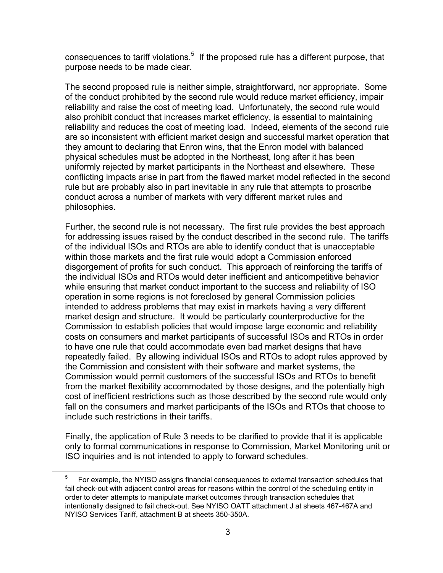consequences to tariff violations. $5$  If the proposed rule has a different purpose, that purpose needs to be made clear.

The second proposed rule is neither simple, straightforward, nor appropriate. Some of the conduct prohibited by the second rule would reduce market efficiency, impair reliability and raise the cost of meeting load. Unfortunately, the second rule would also prohibit conduct that increases market efficiency, is essential to maintaining reliability and reduces the cost of meeting load. Indeed, elements of the second rule are so inconsistent with efficient market design and successful market operation that they amount to declaring that Enron wins, that the Enron model with balanced physical schedules must be adopted in the Northeast, long after it has been uniformly rejected by market participants in the Northeast and elsewhere. These conflicting impacts arise in part from the flawed market model reflected in the second rule but are probably also in part inevitable in any rule that attempts to proscribe conduct across a number of markets with very different market rules and philosophies.

Further, the second rule is not necessary. The first rule provides the best approach for addressing issues raised by the conduct described in the second rule. The tariffs of the individual ISOs and RTOs are able to identify conduct that is unacceptable within those markets and the first rule would adopt a Commission enforced disgorgement of profits for such conduct. This approach of reinforcing the tariffs of the individual ISOs and RTOs would deter inefficient and anticompetitive behavior while ensuring that market conduct important to the success and reliability of ISO operation in some regions is not foreclosed by general Commission policies intended to address problems that may exist in markets having a very different market design and structure. It would be particularly counterproductive for the Commission to establish policies that would impose large economic and reliability costs on consumers and market participants of successful ISOs and RTOs in order to have one rule that could accommodate even bad market designs that have repeatedly failed. By allowing individual ISOs and RTOs to adopt rules approved by the Commission and consistent with their software and market systems, the Commission would permit customers of the successful ISOs and RTOs to benefit from the market flexibility accommodated by those designs, and the potentially high cost of inefficient restrictions such as those described by the second rule would only fall on the consumers and market participants of the ISOs and RTOs that choose to include such restrictions in their tariffs.

Finally, the application of Rule 3 needs to be clarified to provide that it is applicable only to formal communications in response to Commission, Market Monitoring unit or ISO inquiries and is not intended to apply to forward schedules.

 $\frac{1}{5}$  $5<sup>5</sup>$  For example, the NYISO assigns financial consequences to external transaction schedules that fail check-out with adjacent control areas for reasons within the control of the scheduling entity in order to deter attempts to manipulate market outcomes through transaction schedules that intentionally designed to fail check-out. See NYISO OATT attachment J at sheets 467-467A and NYISO Services Tariff, attachment B at sheets 350-350A.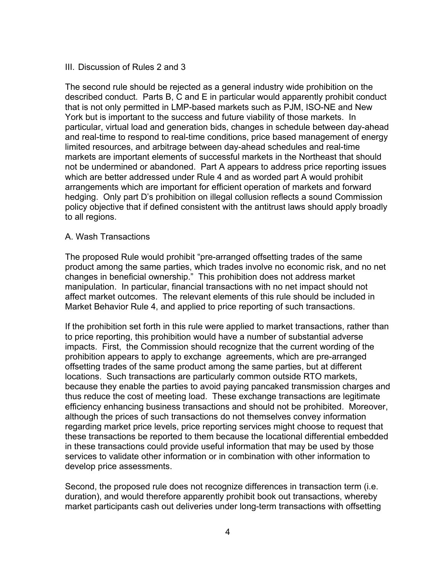## III. Discussion of Rules 2 and 3

The second rule should be rejected as a general industry wide prohibition on the described conduct. Parts B, C and E in particular would apparently prohibit conduct that is not only permitted in LMP-based markets such as PJM, ISO-NE and New York but is important to the success and future viability of those markets. In particular, virtual load and generation bids, changes in schedule between day-ahead and real-time to respond to real-time conditions, price based management of energy limited resources, and arbitrage between day-ahead schedules and real-time markets are important elements of successful markets in the Northeast that should not be undermined or abandoned. Part A appears to address price reporting issues which are better addressed under Rule 4 and as worded part A would prohibit arrangements which are important for efficient operation of markets and forward hedging. Only part D's prohibition on illegal collusion reflects a sound Commission policy objective that if defined consistent with the antitrust laws should apply broadly to all regions.

## A. Wash Transactions

The proposed Rule would prohibit "pre-arranged offsetting trades of the same product among the same parties, which trades involve no economic risk, and no net changes in beneficial ownership." This prohibition does not address market manipulation. In particular, financial transactions with no net impact should not affect market outcomes. The relevant elements of this rule should be included in Market Behavior Rule 4, and applied to price reporting of such transactions.

If the prohibition set forth in this rule were applied to market transactions, rather than to price reporting, this prohibition would have a number of substantial adverse impacts. First, the Commission should recognize that the current wording of the prohibition appears to apply to exchange agreements, which are pre-arranged offsetting trades of the same product among the same parties, but at different locations. Such transactions are particularly common outside RTO markets, because they enable the parties to avoid paying pancaked transmission charges and thus reduce the cost of meeting load. These exchange transactions are legitimate efficiency enhancing business transactions and should not be prohibited. Moreover, although the prices of such transactions do not themselves convey information regarding market price levels, price reporting services might choose to request that these transactions be reported to them because the locational differential embedded in these transactions could provide useful information that may be used by those services to validate other information or in combination with other information to develop price assessments.

Second, the proposed rule does not recognize differences in transaction term (i.e. duration), and would therefore apparently prohibit book out transactions, whereby market participants cash out deliveries under long-term transactions with offsetting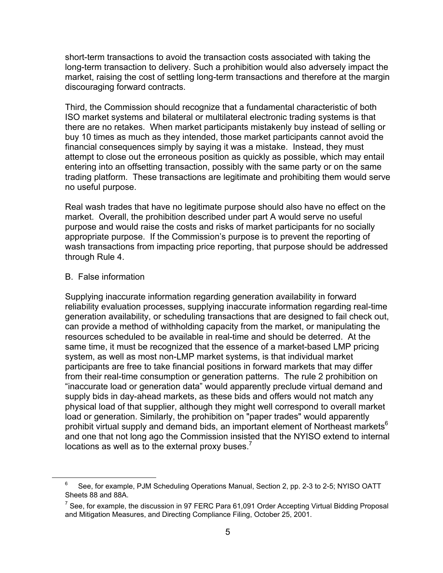short-term transactions to avoid the transaction costs associated with taking the long-term transaction to delivery. Such a prohibition would also adversely impact the market, raising the cost of settling long-term transactions and therefore at the margin discouraging forward contracts.

Third, the Commission should recognize that a fundamental characteristic of both ISO market systems and bilateral or multilateral electronic trading systems is that there are no retakes. When market participants mistakenly buy instead of selling or buy 10 times as much as they intended, those market participants cannot avoid the financial consequences simply by saying it was a mistake. Instead, they must attempt to close out the erroneous position as quickly as possible, which may entail entering into an offsetting transaction, possibly with the same party or on the same trading platform. These transactions are legitimate and prohibiting them would serve no useful purpose.

Real wash trades that have no legitimate purpose should also have no effect on the market. Overall, the prohibition described under part A would serve no useful purpose and would raise the costs and risks of market participants for no socially appropriate purpose. If the Commission's purpose is to prevent the reporting of wash transactions from impacting price reporting, that purpose should be addressed through Rule 4.

## B. False information

Supplying inaccurate information regarding generation availability in forward reliability evaluation processes, supplying inaccurate information regarding real-time generation availability, or scheduling transactions that are designed to fail check out, can provide a method of withholding capacity from the market, or manipulating the resources scheduled to be available in real-time and should be deterred. At the same time, it must be recognized that the essence of a market-based LMP pricing system, as well as most non-LMP market systems, is that individual market participants are free to take financial positions in forward markets that may differ from their real-time consumption or generation patterns. The rule 2 prohibition on "inaccurate load or generation data" would apparently preclude virtual demand and supply bids in day-ahead markets, as these bids and offers would not match any physical load of that supplier, although they might well correspond to overall market load or generation. Similarly, the prohibition on "paper trades" would apparently prohibit virtual supply and demand bids, an important element of Northeast markets $6$ and one that not long ago the Commission insisted that the NYISO extend to internal locations as well as to the external proxy buses. $<sup>7</sup>$ </sup>

 <sup>6</sup>  $6$  See, for example, PJM Scheduling Operations Manual, Section 2, pp. 2-3 to 2-5; NYISO OATT Sheets 88 and 88A.

<sup>&</sup>lt;sup>7</sup> See, for example, the discussion in 97 FERC Para 61,091 Order Accepting Virtual Bidding Proposal and Mitigation Measures, and Directing Compliance Filing, October 25, 2001.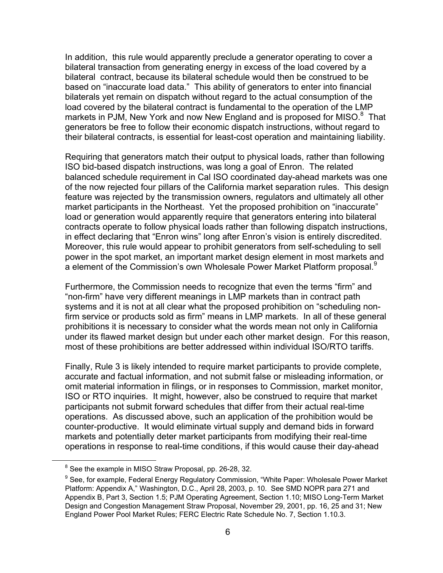In addition, this rule would apparently preclude a generator operating to cover a bilateral transaction from generating energy in excess of the load covered by a bilateral contract, because its bilateral schedule would then be construed to be based on "inaccurate load data." This ability of generators to enter into financial bilaterals yet remain on dispatch without regard to the actual consumption of the load covered by the bilateral contract is fundamental to the operation of the LMP markets in PJM, New York and now New England and is proposed for MISO. $8$  That generators be free to follow their economic dispatch instructions, without regard to their bilateral contracts, is essential for least-cost operation and maintaining liability.

Requiring that generators match their output to physical loads, rather than following ISO bid-based dispatch instructions, was long a goal of Enron. The related balanced schedule requirement in Cal ISO coordinated day-ahead markets was one of the now rejected four pillars of the California market separation rules. This design feature was rejected by the transmission owners, regulators and ultimately all other market participants in the Northeast. Yet the proposed prohibition on "inaccurate" load or generation would apparently require that generators entering into bilateral contracts operate to follow physical loads rather than following dispatch instructions, in effect declaring that "Enron wins" long after Enron's vision is entirely discredited. Moreover, this rule would appear to prohibit generators from self-scheduling to sell power in the spot market, an important market design element in most markets and a element of the Commission's own Wholesale Power Market Platform proposal.<sup>9</sup>

Furthermore, the Commission needs to recognize that even the terms "firm" and "non-firm" have very different meanings in LMP markets than in contract path systems and it is not at all clear what the proposed prohibition on "scheduling nonfirm service or products sold as firm" means in LMP markets. In all of these general prohibitions it is necessary to consider what the words mean not only in California under its flawed market design but under each other market design. For this reason, most of these prohibitions are better addressed within individual ISO/RTO tariffs.

Finally, Rule 3 is likely intended to require market participants to provide complete, accurate and factual information, and not submit false or misleading information, or omit material information in filings, or in responses to Commission, market monitor, ISO or RTO inquiries. It might, however, also be construed to require that market participants not submit forward schedules that differ from their actual real-time operations. As discussed above, such an application of the prohibition would be counter-productive. It would eliminate virtual supply and demand bids in forward markets and potentially deter market participants from modifying their real-time operations in response to real-time conditions, if this would cause their day-ahead

 $\frac{1}{\sqrt{8}}$ <sup>8</sup> See the example in MISO Straw Proposal, pp. 26-28, 32.

<sup>&</sup>lt;sup>9</sup> See, for example, Federal Energy Regulatory Commission, "White Paper: Wholesale Power Market Platform: Appendix A," Washington, D.C., April 28, 2003, p. 10. See SMD NOPR para 271 and Appendix B, Part 3, Section 1.5; PJM Operating Agreement, Section 1.10; MISO Long-Term Market Design and Congestion Management Straw Proposal, November 29, 2001, pp. 16, 25 and 31; New England Power Pool Market Rules; FERC Electric Rate Schedule No. 7, Section 1.10.3.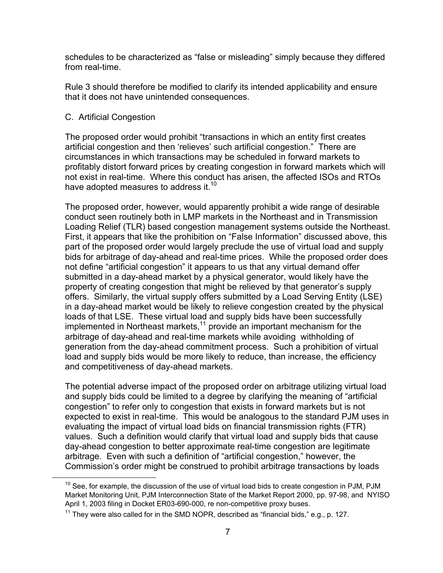schedules to be characterized as "false or misleading" simply because they differed from real-time.

Rule 3 should therefore be modified to clarify its intended applicability and ensure that it does not have unintended consequences.

## C. Artificial Congestion

The proposed order would prohibit "transactions in which an entity first creates artificial congestion and then 'relieves' such artificial congestion." There are circumstances in which transactions may be scheduled in forward markets to profitably distort forward prices by creating congestion in forward markets which will not exist in real-time. Where this conduct has arisen, the affected ISOs and RTOs have adopted measures to address it.<sup>10</sup>

The proposed order, however, would apparently prohibit a wide range of desirable conduct seen routinely both in LMP markets in the Northeast and in Transmission Loading Relief (TLR) based congestion management systems outside the Northeast. First, it appears that like the prohibition on "False Information" discussed above, this part of the proposed order would largely preclude the use of virtual load and supply bids for arbitrage of day-ahead and real-time prices. While the proposed order does not define "artificial congestion" it appears to us that any virtual demand offer submitted in a day-ahead market by a physical generator, would likely have the property of creating congestion that might be relieved by that generator's supply offers. Similarly, the virtual supply offers submitted by a Load Serving Entity (LSE) in a day-ahead market would be likely to relieve congestion created by the physical loads of that LSE. These virtual load and supply bids have been successfully implemented in Northeast markets, $11$  provide an important mechanism for the arbitrage of day-ahead and real-time markets while avoiding withholding of generation from the day-ahead commitment process. Such a prohibition of virtual load and supply bids would be more likely to reduce, than increase, the efficiency and competitiveness of day-ahead markets.

The potential adverse impact of the proposed order on arbitrage utilizing virtual load and supply bids could be limited to a degree by clarifying the meaning of "artificial congestion" to refer only to congestion that exists in forward markets but is not expected to exist in real-time. This would be analogous to the standard PJM uses in evaluating the impact of virtual load bids on financial transmission rights (FTR) values. Such a definition would clarify that virtual load and supply bids that cause day-ahead congestion to better approximate real-time congestion are legitimate arbitrage. Even with such a definition of "artificial congestion," however, the Commission's order might be construed to prohibit arbitrage transactions by loads

 $10$  See, for example, the discussion of the use of virtual load bids to create congestion in PJM, PJM Market Monitoring Unit, PJM Interconnection State of the Market Report 2000, pp. 97-98, and NYISO April 1, 2003 filing in Docket ER03-690-000, re non-competitive proxy buses.

 $11$  They were also called for in the SMD NOPR, described as "financial bids," e.g., p. 127.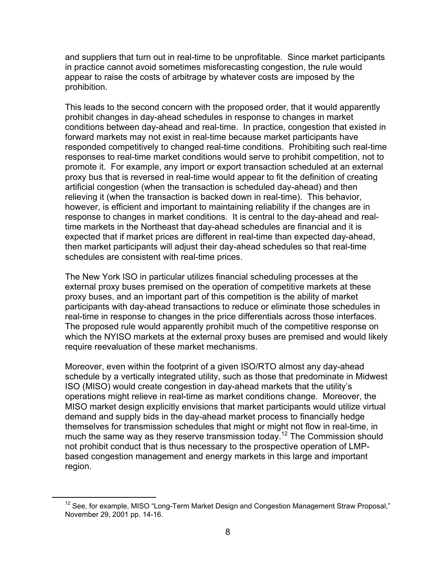and suppliers that turn out in real-time to be unprofitable. Since market participants in practice cannot avoid sometimes misforecasting congestion, the rule would appear to raise the costs of arbitrage by whatever costs are imposed by the prohibition.

This leads to the second concern with the proposed order, that it would apparently prohibit changes in day-ahead schedules in response to changes in market conditions between day-ahead and real-time. In practice, congestion that existed in forward markets may not exist in real-time because market participants have responded competitively to changed real-time conditions. Prohibiting such real-time responses to real-time market conditions would serve to prohibit competition, not to promote it. For example, any import or export transaction scheduled at an external proxy bus that is reversed in real-time would appear to fit the definition of creating artificial congestion (when the transaction is scheduled day-ahead) and then relieving it (when the transaction is backed down in real-time). This behavior, however, is efficient and important to maintaining reliability if the changes are in response to changes in market conditions. It is central to the day-ahead and realtime markets in the Northeast that day-ahead schedules are financial and it is expected that if market prices are different in real-time than expected day-ahead, then market participants will adjust their day-ahead schedules so that real-time schedules are consistent with real-time prices.

The New York ISO in particular utilizes financial scheduling processes at the external proxy buses premised on the operation of competitive markets at these proxy buses, and an important part of this competition is the ability of market participants with day-ahead transactions to reduce or eliminate those schedules in real-time in response to changes in the price differentials across those interfaces. The proposed rule would apparently prohibit much of the competitive response on which the NYISO markets at the external proxy buses are premised and would likely require reevaluation of these market mechanisms.

Moreover, even within the footprint of a given ISO/RTO almost any day-ahead schedule by a vertically integrated utility, such as those that predominate in Midwest ISO (MISO) would create congestion in day-ahead markets that the utility's operations might relieve in real-time as market conditions change. Moreover, the MISO market design explicitly envisions that market participants would utilize virtual demand and supply bids in the day-ahead market process to financially hedge themselves for transmission schedules that might or might not flow in real-time, in much the same way as they reserve transmission today.<sup>12</sup> The Commission should not prohibit conduct that is thus necessary to the prospective operation of LMPbased congestion management and energy markets in this large and important region.

<sup>&</sup>lt;sup>12</sup> See, for example, MISO "Long-Term Market Design and Congestion Management Straw Proposal," November 29, 2001 pp. 14-16.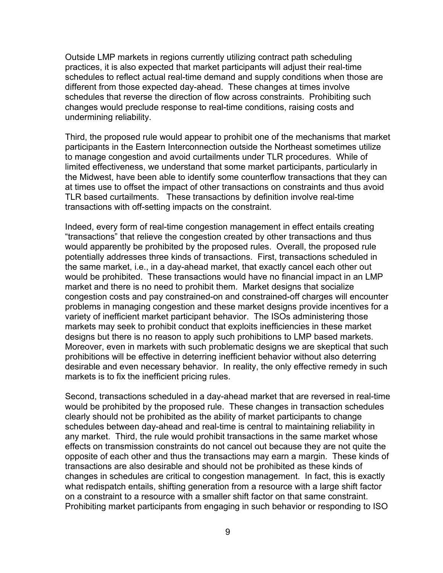Outside LMP markets in regions currently utilizing contract path scheduling practices, it is also expected that market participants will adjust their real-time schedules to reflect actual real-time demand and supply conditions when those are different from those expected day-ahead. These changes at times involve schedules that reverse the direction of flow across constraints. Prohibiting such changes would preclude response to real-time conditions, raising costs and undermining reliability.

Third, the proposed rule would appear to prohibit one of the mechanisms that market participants in the Eastern Interconnection outside the Northeast sometimes utilize to manage congestion and avoid curtailments under TLR procedures. While of limited effectiveness, we understand that some market participants, particularly in the Midwest, have been able to identify some counterflow transactions that they can at times use to offset the impact of other transactions on constraints and thus avoid TLR based curtailments. These transactions by definition involve real-time transactions with off-setting impacts on the constraint.

Indeed, every form of real-time congestion management in effect entails creating "transactions" that relieve the congestion created by other transactions and thus would apparently be prohibited by the proposed rules. Overall, the proposed rule potentially addresses three kinds of transactions. First, transactions scheduled in the same market, i.e., in a day-ahead market, that exactly cancel each other out would be prohibited. These transactions would have no financial impact in an LMP market and there is no need to prohibit them. Market designs that socialize congestion costs and pay constrained-on and constrained-off charges will encounter problems in managing congestion and these market designs provide incentives for a variety of inefficient market participant behavior. The ISOs administering those markets may seek to prohibit conduct that exploits inefficiencies in these market designs but there is no reason to apply such prohibitions to LMP based markets. Moreover, even in markets with such problematic designs we are skeptical that such prohibitions will be effective in deterring inefficient behavior without also deterring desirable and even necessary behavior. In reality, the only effective remedy in such markets is to fix the inefficient pricing rules.

Second, transactions scheduled in a day-ahead market that are reversed in real-time would be prohibited by the proposed rule. These changes in transaction schedules clearly should not be prohibited as the ability of market participants to change schedules between day-ahead and real-time is central to maintaining reliability in any market. Third, the rule would prohibit transactions in the same market whose effects on transmission constraints do not cancel out because they are not quite the opposite of each other and thus the transactions may earn a margin. These kinds of transactions are also desirable and should not be prohibited as these kinds of changes in schedules are critical to congestion management. In fact, this is exactly what redispatch entails, shifting generation from a resource with a large shift factor on a constraint to a resource with a smaller shift factor on that same constraint. Prohibiting market participants from engaging in such behavior or responding to ISO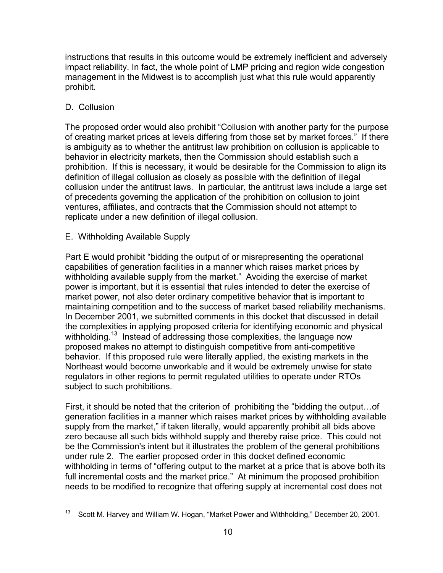instructions that results in this outcome would be extremely inefficient and adversely impact reliability. In fact, the whole point of LMP pricing and region wide congestion management in the Midwest is to accomplish just what this rule would apparently prohibit.

# D. Collusion

The proposed order would also prohibit "Collusion with another party for the purpose of creating market prices at levels differing from those set by market forces." If there is ambiguity as to whether the antitrust law prohibition on collusion is applicable to behavior in electricity markets, then the Commission should establish such a prohibition. If this is necessary, it would be desirable for the Commission to align its definition of illegal collusion as closely as possible with the definition of illegal collusion under the antitrust laws. In particular, the antitrust laws include a large set of precedents governing the application of the prohibition on collusion to joint ventures, affiliates, and contracts that the Commission should not attempt to replicate under a new definition of illegal collusion.

# E. Withholding Available Supply

Part E would prohibit "bidding the output of or misrepresenting the operational capabilities of generation facilities in a manner which raises market prices by withholding available supply from the market." Avoiding the exercise of market power is important, but it is essential that rules intended to deter the exercise of market power, not also deter ordinary competitive behavior that is important to maintaining competition and to the success of market based reliability mechanisms. In December 2001, we submitted comments in this docket that discussed in detail the complexities in applying proposed criteria for identifying economic and physical withholding.<sup>13</sup> Instead of addressing those complexities, the language now proposed makes no attempt to distinguish competitive from anti-competitive behavior. If this proposed rule were literally applied, the existing markets in the Northeast would become unworkable and it would be extremely unwise for state regulators in other regions to permit regulated utilities to operate under RTOs subject to such prohibitions.

First, it should be noted that the criterion of prohibiting the "bidding the output…of generation facilities in a manner which raises market prices by withholding available supply from the market," if taken literally, would apparently prohibit all bids above zero because all such bids withhold supply and thereby raise price. This could not be the Commission's intent but it illustrates the problem of the general prohibitions under rule 2. The earlier proposed order in this docket defined economic withholding in terms of "offering output to the market at a price that is above both its full incremental costs and the market price." At minimum the proposed prohibition needs to be modified to recognize that offering supply at incremental cost does not

 <sup>13</sup> Scott M. Harvey and William W. Hogan, "Market Power and Withholding," December 20, 2001.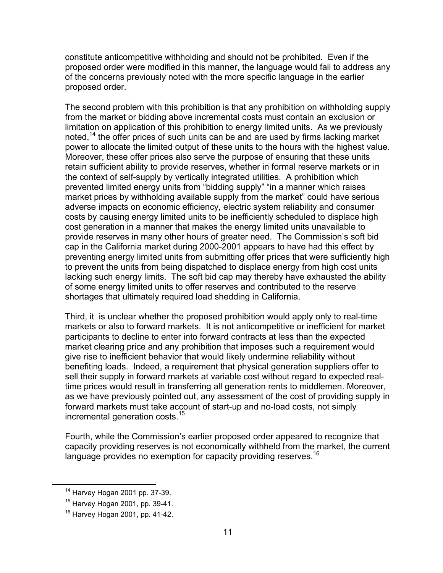constitute anticompetitive withholding and should not be prohibited. Even if the proposed order were modified in this manner, the language would fail to address any of the concerns previously noted with the more specific language in the earlier proposed order.

The second problem with this prohibition is that any prohibition on withholding supply from the market or bidding above incremental costs must contain an exclusion or limitation on application of this prohibition to energy limited units. As we previously noted,<sup>14</sup> the offer prices of such units can be and are used by firms lacking market power to allocate the limited output of these units to the hours with the highest value. Moreover, these offer prices also serve the purpose of ensuring that these units retain sufficient ability to provide reserves, whether in formal reserve markets or in the context of self-supply by vertically integrated utilities. A prohibition which prevented limited energy units from "bidding supply" "in a manner which raises market prices by withholding available supply from the market" could have serious adverse impacts on economic efficiency, electric system reliability and consumer costs by causing energy limited units to be inefficiently scheduled to displace high cost generation in a manner that makes the energy limited units unavailable to provide reserves in many other hours of greater need. The Commission's soft bid cap in the California market during 2000-2001 appears to have had this effect by preventing energy limited units from submitting offer prices that were sufficiently high to prevent the units from being dispatched to displace energy from high cost units lacking such energy limits. The soft bid cap may thereby have exhausted the ability of some energy limited units to offer reserves and contributed to the reserve shortages that ultimately required load shedding in California.

Third, it is unclear whether the proposed prohibition would apply only to real-time markets or also to forward markets. It is not anticompetitive or inefficient for market participants to decline to enter into forward contracts at less than the expected market clearing price and any prohibition that imposes such a requirement would give rise to inefficient behavior that would likely undermine reliability without benefiting loads. Indeed, a requirement that physical generation suppliers offer to sell their supply in forward markets at variable cost without regard to expected realtime prices would result in transferring all generation rents to middlemen. Moreover, as we have previously pointed out, any assessment of the cost of providing supply in forward markets must take account of start-up and no-load costs, not simply incremental generation costs.<sup>15</sup>

Fourth, while the Commission's earlier proposed order appeared to recognize that capacity providing reserves is not economically withheld from the market, the current language provides no exemption for capacity providing reserves.<sup>16</sup>

 <sup>14</sup> Harvey Hogan 2001 pp. 37-39.

<sup>15</sup> Harvey Hogan 2001, pp. 39-41.

 $16$  Harvey Hogan 2001, pp. 41-42.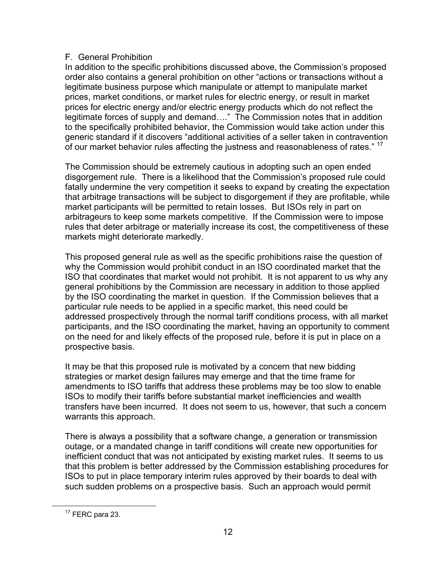## F. General Prohibition

In addition to the specific prohibitions discussed above, the Commission's proposed order also contains a general prohibition on other "actions or transactions without a legitimate business purpose which manipulate or attempt to manipulate market prices, market conditions, or market rules for electric energy, or result in market prices for electric energy and/or electric energy products which do not reflect the legitimate forces of supply and demand…." The Commission notes that in addition to the specifically prohibited behavior, the Commission would take action under this generic standard if it discovers "additional activities of a seller taken in contravention of our market behavior rules affecting the justness and reasonableness of rates." <sup>17</sup>

The Commission should be extremely cautious in adopting such an open ended disgorgement rule. There is a likelihood that the Commission's proposed rule could fatally undermine the very competition it seeks to expand by creating the expectation that arbitrage transactions will be subject to disgorgement if they are profitable, while market participants will be permitted to retain losses. But ISOs rely in part on arbitrageurs to keep some markets competitive. If the Commission were to impose rules that deter arbitrage or materially increase its cost, the competitiveness of these markets might deteriorate markedly.

This proposed general rule as well as the specific prohibitions raise the question of why the Commission would prohibit conduct in an ISO coordinated market that the ISO that coordinates that market would not prohibit. It is not apparent to us why any general prohibitions by the Commission are necessary in addition to those applied by the ISO coordinating the market in question. If the Commission believes that a particular rule needs to be applied in a specific market, this need could be addressed prospectively through the normal tariff conditions process, with all market participants, and the ISO coordinating the market, having an opportunity to comment on the need for and likely effects of the proposed rule, before it is put in place on a prospective basis.

It may be that this proposed rule is motivated by a concern that new bidding strategies or market design failures may emerge and that the time frame for amendments to ISO tariffs that address these problems may be too slow to enable ISOs to modify their tariffs before substantial market inefficiencies and wealth transfers have been incurred. It does not seem to us, however, that such a concern warrants this approach.

There is always a possibility that a software change, a generation or transmission outage, or a mandated change in tariff conditions will create new opportunities for inefficient conduct that was not anticipated by existing market rules. It seems to us that this problem is better addressed by the Commission establishing procedures for ISOs to put in place temporary interim rules approved by their boards to deal with such sudden problems on a prospective basis. Such an approach would permit

 $17$  FERC para 23.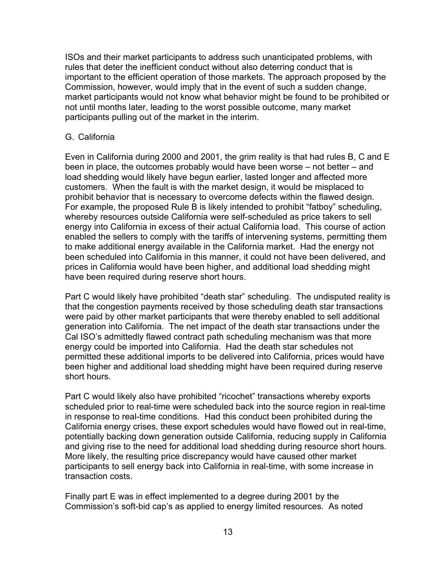ISOs and their market participants to address such unanticipated problems, with rules that deter the inefficient conduct without also deterring conduct that is important to the efficient operation of those markets. The approach proposed by the Commission, however, would imply that in the event of such a sudden change, market participants would not know what behavior might be found to be prohibited or not until months later, leading to the worst possible outcome, many market participants pulling out of the market in the interim.

## G. California

Even in California during 2000 and 2001, the grim reality is that had rules B, C and E been in place, the outcomes probably would have been worse – not better – and load shedding would likely have begun earlier, lasted longer and affected more customers. When the fault is with the market design, it would be misplaced to prohibit behavior that is necessary to overcome defects within the flawed design. For example, the proposed Rule B is likely intended to prohibit "fatboy" scheduling, whereby resources outside California were self-scheduled as price takers to sell energy into California in excess of their actual California load. This course of action enabled the sellers to comply with the tariffs of intervening systems, permitting them to make additional energy available in the California market. Had the energy not been scheduled into California in this manner, it could not have been delivered, and prices in California would have been higher, and additional load shedding might have been required during reserve short hours.

Part C would likely have prohibited "death star" scheduling. The undisputed reality is that the congestion payments received by those scheduling death star transactions were paid by other market participants that were thereby enabled to sell additional generation into California. The net impact of the death star transactions under the Cal ISO's admittedly flawed contract path scheduling mechanism was that more energy could be imported into California. Had the death star schedules not permitted these additional imports to be delivered into California, prices would have been higher and additional load shedding might have been required during reserve short hours.

Part C would likely also have prohibited "ricochet" transactions whereby exports scheduled prior to real-time were scheduled back into the source region in real-time in response to real-time conditions. Had this conduct been prohibited during the California energy crises, these export schedules would have flowed out in real-time, potentially backing down generation outside California, reducing supply in California and giving rise to the need for additional load shedding during resource short hours. More likely, the resulting price discrepancy would have caused other market participants to sell energy back into California in real-time, with some increase in transaction costs.

Finally part E was in effect implemented to a degree during 2001 by the Commission's soft-bid cap's as applied to energy limited resources. As noted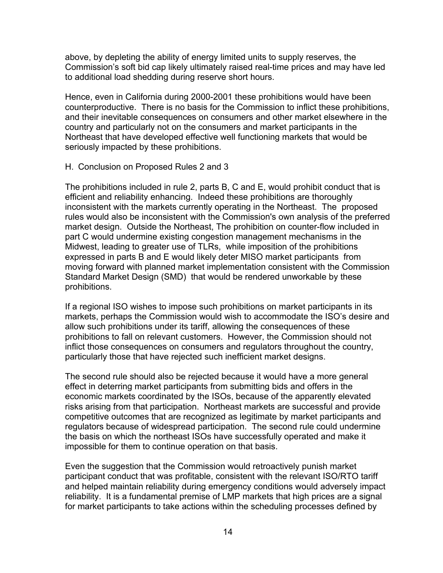above, by depleting the ability of energy limited units to supply reserves, the Commission's soft bid cap likely ultimately raised real-time prices and may have led to additional load shedding during reserve short hours.

Hence, even in California during 2000-2001 these prohibitions would have been counterproductive. There is no basis for the Commission to inflict these prohibitions, and their inevitable consequences on consumers and other market elsewhere in the country and particularly not on the consumers and market participants in the Northeast that have developed effective well functioning markets that would be seriously impacted by these prohibitions.

#### H. Conclusion on Proposed Rules 2 and 3

The prohibitions included in rule 2, parts B, C and E, would prohibit conduct that is efficient and reliability enhancing. Indeed these prohibitions are thoroughly inconsistent with the markets currently operating in the Northeast. The proposed rules would also be inconsistent with the Commission's own analysis of the preferred market design. Outside the Northeast, The prohibition on counter-flow included in part C would undermine existing congestion management mechanisms in the Midwest, leading to greater use of TLRs, while imposition of the prohibitions expressed in parts B and E would likely deter MISO market participants from moving forward with planned market implementation consistent with the Commission Standard Market Design (SMD) that would be rendered unworkable by these prohibitions.

If a regional ISO wishes to impose such prohibitions on market participants in its markets, perhaps the Commission would wish to accommodate the ISO's desire and allow such prohibitions under its tariff, allowing the consequences of these prohibitions to fall on relevant customers. However, the Commission should not inflict those consequences on consumers and regulators throughout the country, particularly those that have rejected such inefficient market designs.

The second rule should also be rejected because it would have a more general effect in deterring market participants from submitting bids and offers in the economic markets coordinated by the ISOs, because of the apparently elevated risks arising from that participation. Northeast markets are successful and provide competitive outcomes that are recognized as legitimate by market participants and regulators because of widespread participation. The second rule could undermine the basis on which the northeast ISOs have successfully operated and make it impossible for them to continue operation on that basis.

Even the suggestion that the Commission would retroactively punish market participant conduct that was profitable, consistent with the relevant ISO/RTO tariff and helped maintain reliability during emergency conditions would adversely impact reliability. It is a fundamental premise of LMP markets that high prices are a signal for market participants to take actions within the scheduling processes defined by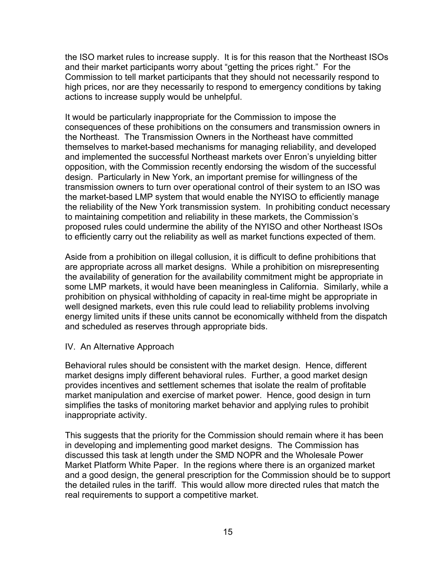the ISO market rules to increase supply. It is for this reason that the Northeast ISOs and their market participants worry about "getting the prices right." For the Commission to tell market participants that they should not necessarily respond to high prices, nor are they necessarily to respond to emergency conditions by taking actions to increase supply would be unhelpful.

It would be particularly inappropriate for the Commission to impose the consequences of these prohibitions on the consumers and transmission owners in the Northeast. The Transmission Owners in the Northeast have committed themselves to market-based mechanisms for managing reliability, and developed and implemented the successful Northeast markets over Enron's unyielding bitter opposition, with the Commission recently endorsing the wisdom of the successful design. Particularly in New York, an important premise for willingness of the transmission owners to turn over operational control of their system to an ISO was the market-based LMP system that would enable the NYISO to efficiently manage the reliability of the New York transmission system. In prohibiting conduct necessary to maintaining competition and reliability in these markets, the Commission's proposed rules could undermine the ability of the NYISO and other Northeast ISOs to efficiently carry out the reliability as well as market functions expected of them.

Aside from a prohibition on illegal collusion, it is difficult to define prohibitions that are appropriate across all market designs. While a prohibition on misrepresenting the availability of generation for the availability commitment might be appropriate in some LMP markets, it would have been meaningless in California. Similarly, while a prohibition on physical withholding of capacity in real-time might be appropriate in well designed markets, even this rule could lead to reliability problems involving energy limited units if these units cannot be economically withheld from the dispatch and scheduled as reserves through appropriate bids.

#### IV. An Alternative Approach

Behavioral rules should be consistent with the market design. Hence, different market designs imply different behavioral rules. Further, a good market design provides incentives and settlement schemes that isolate the realm of profitable market manipulation and exercise of market power. Hence, good design in turn simplifies the tasks of monitoring market behavior and applying rules to prohibit inappropriate activity.

This suggests that the priority for the Commission should remain where it has been in developing and implementing good market designs. The Commission has discussed this task at length under the SMD NOPR and the Wholesale Power Market Platform White Paper. In the regions where there is an organized market and a good design, the general prescription for the Commission should be to support the detailed rules in the tariff. This would allow more directed rules that match the real requirements to support a competitive market.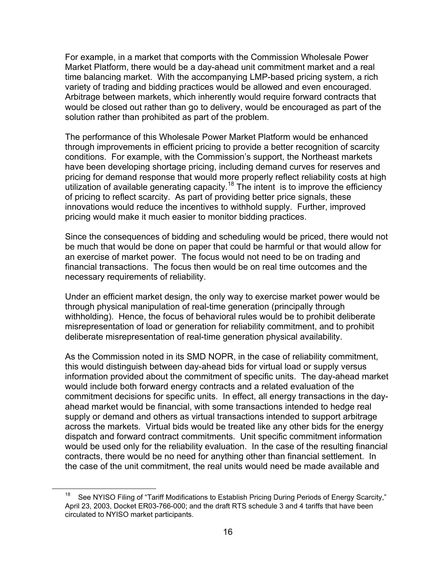For example, in a market that comports with the Commission Wholesale Power Market Platform, there would be a day-ahead unit commitment market and a real time balancing market. With the accompanying LMP-based pricing system, a rich variety of trading and bidding practices would be allowed and even encouraged. Arbitrage between markets, which inherently would require forward contracts that would be closed out rather than go to delivery, would be encouraged as part of the solution rather than prohibited as part of the problem.

The performance of this Wholesale Power Market Platform would be enhanced through improvements in efficient pricing to provide a better recognition of scarcity conditions. For example, with the Commission's support, the Northeast markets have been developing shortage pricing, including demand curves for reserves and pricing for demand response that would more properly reflect reliability costs at high utilization of available generating capacity.<sup>18</sup> The intent is to improve the efficiency of pricing to reflect scarcity. As part of providing better price signals, these innovations would reduce the incentives to withhold supply. Further, improved pricing would make it much easier to monitor bidding practices.

Since the consequences of bidding and scheduling would be priced, there would not be much that would be done on paper that could be harmful or that would allow for an exercise of market power. The focus would not need to be on trading and financial transactions. The focus then would be on real time outcomes and the necessary requirements of reliability.

Under an efficient market design, the only way to exercise market power would be through physical manipulation of real-time generation (principally through withholding). Hence, the focus of behavioral rules would be to prohibit deliberate misrepresentation of load or generation for reliability commitment, and to prohibit deliberate misrepresentation of real-time generation physical availability.

As the Commission noted in its SMD NOPR, in the case of reliability commitment, this would distinguish between day-ahead bids for virtual load or supply versus information provided about the commitment of specific units. The day-ahead market would include both forward energy contracts and a related evaluation of the commitment decisions for specific units. In effect, all energy transactions in the dayahead market would be financial, with some transactions intended to hedge real supply or demand and others as virtual transactions intended to support arbitrage across the markets. Virtual bids would be treated like any other bids for the energy dispatch and forward contract commitments. Unit specific commitment information would be used only for the reliability evaluation. In the case of the resulting financial contracts, there would be no need for anything other than financial settlement. In the case of the unit commitment, the real units would need be made available and

<sup>&</sup>lt;sup>18</sup> See NYISO Filing of "Tariff Modifications to Establish Pricing During Periods of Energy Scarcity," April 23, 2003, Docket ER03-766-000; and the draft RTS schedule 3 and 4 tariffs that have been circulated to NYISO market participants.